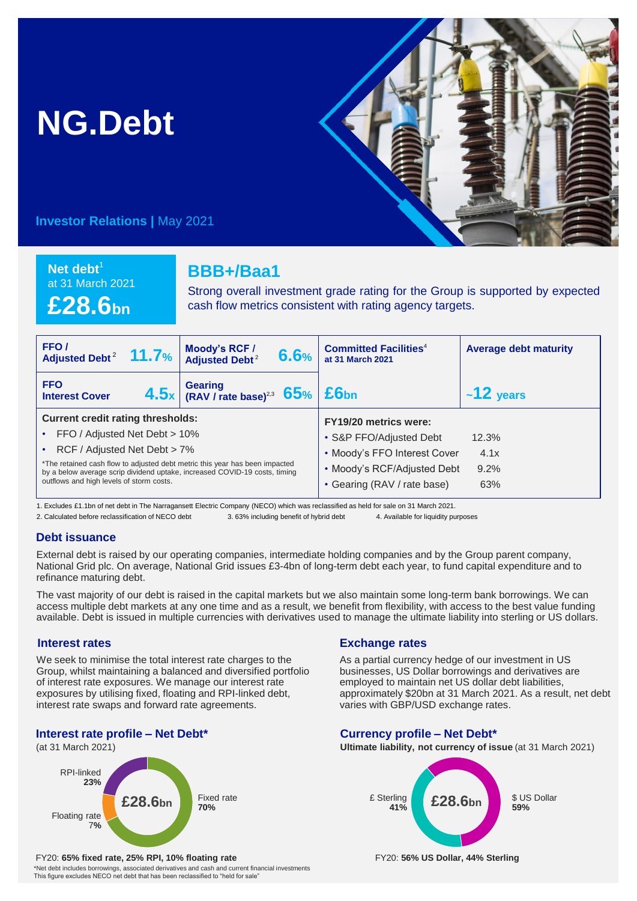# **NG.Debt**



**Investor Relations |** May 2021

**Net debt<sup>1</sup>** at 31 March 2021 **£28.6bn**

## **BBB+/Baa1**

Strong overall investment grade rating for the Group is supported by expected cash flow metrics consistent with rating agency targets.

| FFO/<br>Adjusted Debt <sup>2</sup> 11.7%                                                                                                                                                                                                                                                                           | Moody's RCF /<br>6.6%<br><b>Adjusted Debt<sup>2</sup></b>                                              | <b>Committed Facilities<sup>4</sup></b><br>at 31 March 2021                                                                                    | <b>Average debt maturity</b> |
|--------------------------------------------------------------------------------------------------------------------------------------------------------------------------------------------------------------------------------------------------------------------------------------------------------------------|--------------------------------------------------------------------------------------------------------|------------------------------------------------------------------------------------------------------------------------------------------------|------------------------------|
| <b>FFO</b><br><b>Interest Cover</b>                                                                                                                                                                                                                                                                                | $\left  \frac{\text{4.5}}{\text{x}} \right $ (RAV / rate base) <sup>23</sup> 65% $\left  \right.$ £6bn |                                                                                                                                                | $~12$ years                  |
| <b>Current credit rating thresholds:</b><br>FFO / Adjusted Net Debt > 10%<br>RCF / Adjusted Net Debt > 7%<br>*The retained cash flow to adjusted debt metric this year has been impacted<br>by a below average scrip dividend uptake, increased COVID-19 costs, timing<br>outflows and high levels of storm costs. |                                                                                                        | FY19/20 metrics were:<br>• S&P FFO/Adjusted Debt<br>• Moody's FFO Interest Cover<br>• Moody's RCF/Adjusted Debt<br>• Gearing (RAV / rate base) | 12.3%<br>4.1x<br>9.2%<br>63% |

1. Excludes £1.1bn of net debt in The Narragansett Electric Company (NECO) which was reclassified as held for sale on 31 March 2021.

2. Calculated before reclassification of NECO debt 3. 63% including benefit of hybrid debt 4. Available for liquidity purposes

#### **Debt issuance**

External debt is raised by our operating companies, intermediate holding companies and by the Group parent company, National Grid plc. On average, National Grid issues £3-4bn of long-term debt each year, to fund capital expenditure and to refinance maturing debt.

The vast majority of our debt is raised in the capital markets but we also maintain some long-term bank borrowings. We can access multiple debt markets at any one time and as a result, we benefit from flexibility, with access to the best value funding available. Debt is issued in multiple currencies with derivatives used to manage the ultimate liability into sterling or US dollars.

#### **Interest rates**

We seek to minimise the total interest rate charges to the Group, whilst maintaining a balanced and diversified portfolio of interest rate exposures. We manage our interest rate exposures by utilising fixed, floating and RPI-linked debt, interest rate swaps and forward rate agreements.

## **Interest rate profile – Net Debt\***

(at 31 March 2021)



#### FY20: **65% fixed rate, 25% RPI, 10% floating rate** FY20: **56% US Dollar, 44% Sterling**

\*Net debt includes borrowings, associated derivatives and cash and current financial investments This figure excludes NECO net debt that has been reclassified to "held for sale"

### **Exchange rates**

As a partial currency hedge of our investment in US businesses, US Dollar borrowings and derivatives are employed to maintain net US dollar debt liabilities, approximately \$20bn at 31 March 2021. As a result, net debt varies with GBP/USD exchange rates.

#### **Currency profile – Net Debt\***

**Ultimate liability, not currency of issue** (at 31 March 2021)